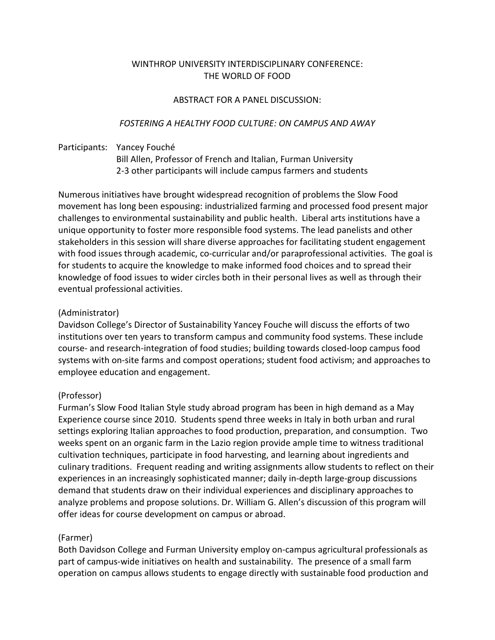# WINTHROP UNIVERSITY INTERDISCIPLINARY CONFERENCE: THE WORLD OF FOOD

### ABSTRACT FOR A PANEL DISCUSSION:

### *FOSTERING A HEALTHY FOOD CULTURE: ON CAMPUS AND AWAY*

# Participants: Yancey Fouché Bill Allen, Professor of French and Italian, Furman University 2-3 other participants will include campus farmers and students

Numerous initiatives have brought widespread recognition of problems the Slow Food movement has long been espousing: industrialized farming and processed food present major challenges to environmental sustainability and public health. Liberal arts institutions have a unique opportunity to foster more responsible food systems. The lead panelists and other stakeholders in this session will share diverse approaches for facilitating student engagement with food issues through academic, co-curricular and/or paraprofessional activities. The goal is for students to acquire the knowledge to make informed food choices and to spread their knowledge of food issues to wider circles both in their personal lives as well as through their eventual professional activities.

### (Administrator)

Davidson College's Director of Sustainability Yancey Fouche will discuss the efforts of two institutions over ten years to transform campus and community food systems. These include course- and research-integration of food studies; building towards closed-loop campus food systems with on-site farms and compost operations; student food activism; and approaches to employee education and engagement.

### (Professor)

Furman's Slow Food Italian Style study abroad program has been in high demand as a May Experience course since 2010. Students spend three weeks in Italy in both urban and rural settings exploring Italian approaches to food production, preparation, and consumption. Two weeks spent on an organic farm in the Lazio region provide ample time to witness traditional cultivation techniques, participate in food harvesting, and learning about ingredients and culinary traditions. Frequent reading and writing assignments allow students to reflect on their experiences in an increasingly sophisticated manner; daily in-depth large-group discussions demand that students draw on their individual experiences and disciplinary approaches to analyze problems and propose solutions. Dr. William G. Allen's discussion of this program will offer ideas for course development on campus or abroad.

#### (Farmer)

Both Davidson College and Furman University employ on-campus agricultural professionals as part of campus-wide initiatives on health and sustainability. The presence of a small farm operation on campus allows students to engage directly with sustainable food production and